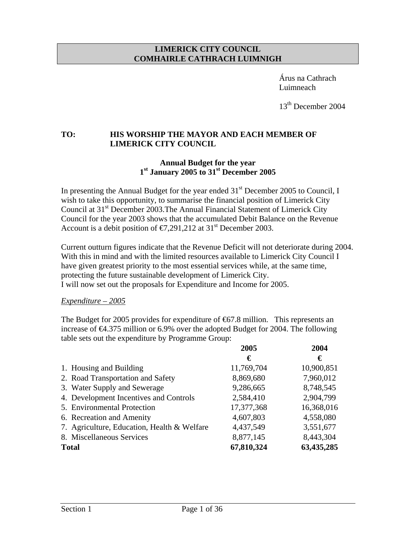#### **LIMERICK CITY COUNCIL COMHAIRLE CATHRACH LUIMNIGH**

 Árus na Cathrach Luimneach

13<sup>th</sup> December 2004

### **TO: HIS WORSHIP THE MAYOR AND EACH MEMBER OF LIMERICK CITY COUNCIL**

## **Annual Budget for the year 1st January 2005 to 31st December 2005**

In presenting the Annual Budget for the year ended  $31<sup>st</sup>$  December 2005 to Council, I wish to take this opportunity, to summarise the financial position of Limerick City Council at 31<sup>st</sup> December 2003. The Annual Financial Statement of Limerick City Council for the year 2003 shows that the accumulated Debit Balance on the Revenue Account is a debit position of  $\epsilon$ 7,291,212 at 31<sup>st</sup> December 2003.

Current outturn figures indicate that the Revenue Deficit will not deteriorate during 2004. With this in mind and with the limited resources available to Limerick City Council I have given greatest priority to the most essential services while, at the same time, protecting the future sustainable development of Limerick City. I will now set out the proposals for Expenditure and Income for 2005.

### *Expenditure – 2005*

The Budget for 2005 provides for expenditure of  $67.8$  million. This represents an increase of  $\epsilon 4.375$  million or 6.9% over the adopted Budget for 2004. The following table sets out the expenditure by Programme Group:

|                                             | 2005       | 2004       |
|---------------------------------------------|------------|------------|
|                                             | €          | €          |
| 1. Housing and Building                     | 11,769,704 | 10,900,851 |
| 2. Road Transportation and Safety           | 8,869,680  | 7,960,012  |
| 3. Water Supply and Sewerage                | 9,286,665  | 8,748,545  |
| 4. Development Incentives and Controls      | 2,584,410  | 2,904,799  |
| 5. Environmental Protection                 | 17,377,368 | 16,368,016 |
| 6. Recreation and Amenity                   | 4,607,803  | 4,558,080  |
| 7. Agriculture, Education, Health & Welfare | 4,437,549  | 3,551,677  |
| 8. Miscellaneous Services                   | 8,877,145  | 8,443,304  |
| <b>Total</b>                                | 67,810,324 | 63,435,285 |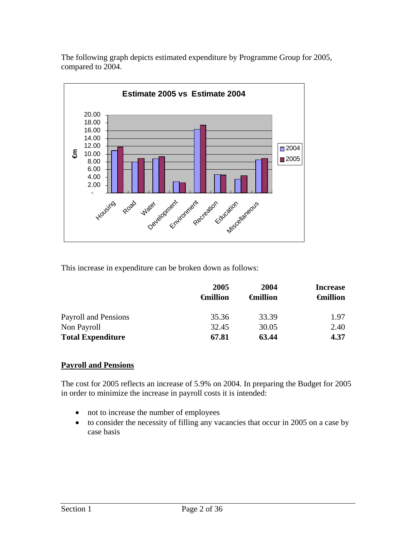The following graph depicts estimated expenditure by Programme Group for 2005, compared to 2004.



This increase in expenditure can be broken down as follows:

|                          | 2005<br><del>G</del> million | 2004<br><del></del> <b>€million</b> | <b>Increase</b><br><del>G</del> million |
|--------------------------|------------------------------|-------------------------------------|-----------------------------------------|
|                          |                              |                                     |                                         |
| Payroll and Pensions     | 35.36                        | 33.39                               | 1.97                                    |
| Non Payroll              | 32.45                        | 30.05                               | 2.40                                    |
| <b>Total Expenditure</b> | 67.81                        | 63.44                               | 4.37                                    |

### **Payroll and Pensions**

The cost for 2005 reflects an increase of 5.9% on 2004. In preparing the Budget for 2005 in order to minimize the increase in payroll costs it is intended:

- not to increase the number of employees
- to consider the necessity of filling any vacancies that occur in 2005 on a case by case basis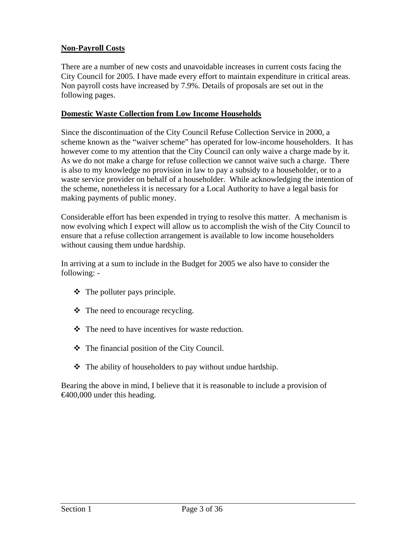# **Non-Payroll Costs**

There are a number of new costs and unavoidable increases in current costs facing the City Council for 2005. I have made every effort to maintain expenditure in critical areas. Non payroll costs have increased by 7.9%. Details of proposals are set out in the following pages.

## **Domestic Waste Collection from Low Income Households**

Since the discontinuation of the City Council Refuse Collection Service in 2000, a scheme known as the "waiver scheme" has operated for low-income householders. It has however come to my attention that the City Council can only waive a charge made by it. As we do not make a charge for refuse collection we cannot waive such a charge. There is also to my knowledge no provision in law to pay a subsidy to a householder, or to a waste service provider on behalf of a householder. While acknowledging the intention of the scheme, nonetheless it is necessary for a Local Authority to have a legal basis for making payments of public money.

Considerable effort has been expended in trying to resolve this matter. A mechanism is now evolving which I expect will allow us to accomplish the wish of the City Council to ensure that a refuse collection arrangement is available to low income householders without causing them undue hardship.

In arriving at a sum to include in the Budget for 2005 we also have to consider the following: -

- $\triangleleft$  The polluter pays principle.
- $\triangleleft$  The need to encourage recycling.
- $\div$  The need to have incentives for waste reduction.
- The financial position of the City Council.
- $\triangle$  The ability of householders to pay without undue hardship.

Bearing the above in mind, I believe that it is reasonable to include a provision of €400,000 under this heading.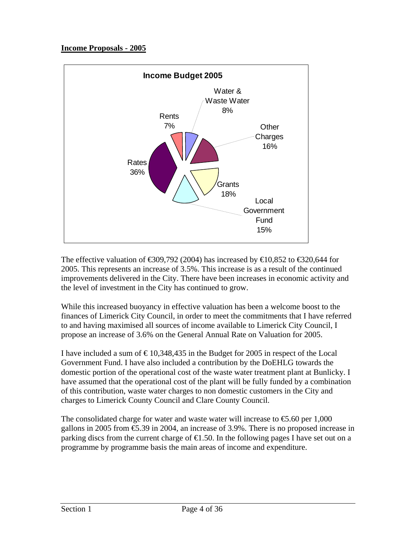## **Income Proposals - 2005**



The effective valuation of  $\text{\textsterling}39,792$  (2004) has increased by  $\text{\textsterling}10,852$  to  $\text{\textsterling}320,644$  for 2005. This represents an increase of 3.5%. This increase is as a result of the continued improvements delivered in the City. There have been increases in economic activity and the level of investment in the City has continued to grow.

While this increased buoyancy in effective valuation has been a welcome boost to the finances of Limerick City Council, in order to meet the commitments that I have referred to and having maximised all sources of income available to Limerick City Council, I propose an increase of 3.6% on the General Annual Rate on Valuation for 2005.

I have included a sum of  $\epsilon$  10,348,435 in the Budget for 2005 in respect of the Local Government Fund. I have also included a contribution by the DoEHLG towards the domestic portion of the operational cost of the waste water treatment plant at Bunlicky. I have assumed that the operational cost of the plant will be fully funded by a combination of this contribution, waste water charges to non domestic customers in the City and charges to Limerick County Council and Clare County Council.

The consolidated charge for water and waste water will increase to  $\epsilon$ 5.60 per 1,000 gallons in 2005 from €5.39 in 2004, an increase of 3.9%. There is no proposed increase in parking discs from the current charge of  $\epsilon$ 1.50. In the following pages I have set out on a programme by programme basis the main areas of income and expenditure.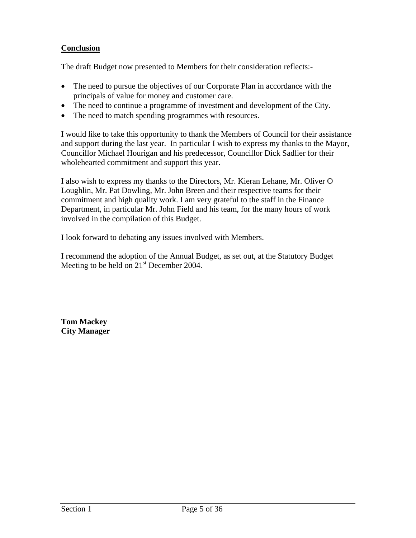# **Conclusion**

The draft Budget now presented to Members for their consideration reflects:-

- The need to pursue the objectives of our Corporate Plan in accordance with the principals of value for money and customer care.
- The need to continue a programme of investment and development of the City.
- The need to match spending programmes with resources.

I would like to take this opportunity to thank the Members of Council for their assistance and support during the last year. In particular I wish to express my thanks to the Mayor, Councillor Michael Hourigan and his predecessor, Councillor Dick Sadlier for their wholehearted commitment and support this year.

I also wish to express my thanks to the Directors, Mr. Kieran Lehane, Mr. Oliver O Loughlin, Mr. Pat Dowling, Mr. John Breen and their respective teams for their commitment and high quality work. I am very grateful to the staff in the Finance Department, in particular Mr. John Field and his team, for the many hours of work involved in the compilation of this Budget.

I look forward to debating any issues involved with Members.

I recommend the adoption of the Annual Budget, as set out, at the Statutory Budget Meeting to be held on  $21<sup>st</sup>$  December 2004.

**Tom Mackey City Manager**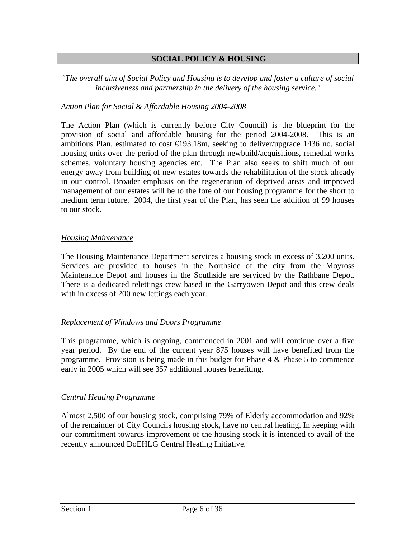## **SOCIAL POLICY & HOUSING**

#### *"The overall aim of Social Policy and Housing is to develop and foster a culture of social inclusiveness and partnership in the delivery of the housing service."*

### *Action Plan for Social & Affordable Housing 2004-2008*

The Action Plan (which is currently before City Council) is the blueprint for the provision of social and affordable housing for the period 2004-2008. This is an ambitious Plan, estimated to cost  $\in$  93.18m, seeking to deliver/upgrade 1436 no. social housing units over the period of the plan through newbuild/acquisitions, remedial works schemes, voluntary housing agencies etc. The Plan also seeks to shift much of our energy away from building of new estates towards the rehabilitation of the stock already in our control. Broader emphasis on the regeneration of deprived areas and improved management of our estates will be to the fore of our housing programme for the short to medium term future. 2004, the first year of the Plan, has seen the addition of 99 houses to our stock.

#### *Housing Maintenance*

The Housing Maintenance Department services a housing stock in excess of 3,200 units. Services are provided to houses in the Northside of the city from the Moyross Maintenance Depot and houses in the Southside are serviced by the Rathbane Depot. There is a dedicated relettings crew based in the Garryowen Depot and this crew deals with in excess of 200 new lettings each year.

### *Replacement of Windows and Doors Programme*

This programme, which is ongoing, commenced in 2001 and will continue over a five year period. By the end of the current year 875 houses will have benefited from the programme. Provision is being made in this budget for Phase  $4 \&$  Phase  $5$  to commence early in 2005 which will see 357 additional houses benefiting.

#### *Central Heating Programme*

Almost 2,500 of our housing stock, comprising 79% of Elderly accommodation and 92% of the remainder of City Councils housing stock, have no central heating. In keeping with our commitment towards improvement of the housing stock it is intended to avail of the recently announced DoEHLG Central Heating Initiative.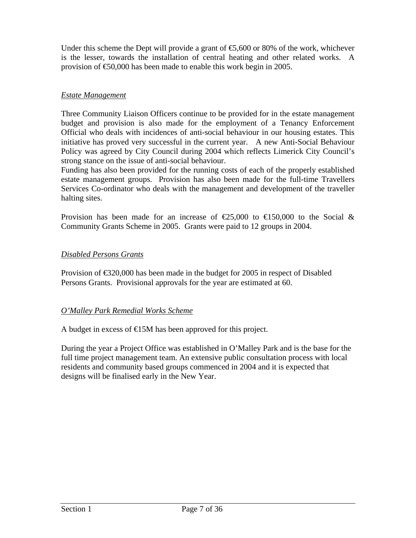Under this scheme the Dept will provide a grant of  $\epsilon$ 5,600 or 80% of the work, whichever is the lesser, towards the installation of central heating and other related works. A provision of €50,000 has been made to enable this work begin in 2005.

# *Estate Management*

Three Community Liaison Officers continue to be provided for in the estate management budget and provision is also made for the employment of a Tenancy Enforcement Official who deals with incidences of anti-social behaviour in our housing estates. This initiative has proved very successful in the current year. A new Anti-Social Behaviour Policy was agreed by City Council during 2004 which reflects Limerick City Council's strong stance on the issue of anti-social behaviour.

Funding has also been provided for the running costs of each of the properly established estate management groups. Provision has also been made for the full-time Travellers Services Co-ordinator who deals with the management and development of the traveller halting sites.

Provision has been made for an increase of  $\epsilon$ 25,000 to  $\epsilon$ 150,000 to the Social & Community Grants Scheme in 2005. Grants were paid to 12 groups in 2004.

### *Disabled Persons Grants*

Provision of €320,000 has been made in the budget for 2005 in respect of Disabled Persons Grants. Provisional approvals for the year are estimated at 60.

### *O'Malley Park Remedial Works Scheme*

A budget in excess of  $E$ 5M has been approved for this project.

During the year a Project Office was established in O'Malley Park and is the base for the full time project management team. An extensive public consultation process with local residents and community based groups commenced in 2004 and it is expected that designs will be finalised early in the New Year.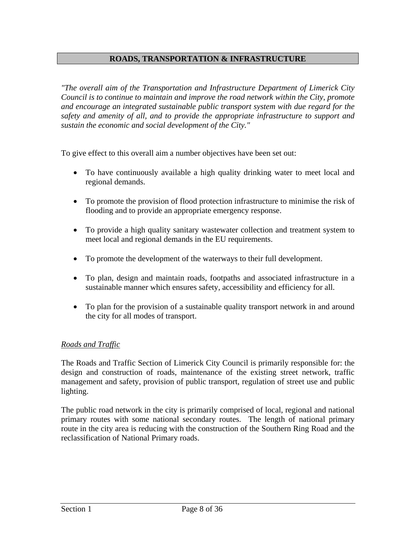### **ROADS, TRANSPORTATION & INFRASTRUCTURE**

*"The overall aim of the Transportation and Infrastructure Department of Limerick City Council is to continue to maintain and improve the road network within the City, promote and encourage an integrated sustainable public transport system with due regard for the safety and amenity of all, and to provide the appropriate infrastructure to support and sustain the economic and social development of the City."*

To give effect to this overall aim a number objectives have been set out:

- To have continuously available a high quality drinking water to meet local and regional demands.
- To promote the provision of flood protection infrastructure to minimise the risk of flooding and to provide an appropriate emergency response.
- To provide a high quality sanitary wastewater collection and treatment system to meet local and regional demands in the EU requirements.
- To promote the development of the waterways to their full development.
- To plan, design and maintain roads, footpaths and associated infrastructure in a sustainable manner which ensures safety, accessibility and efficiency for all.
- To plan for the provision of a sustainable quality transport network in and around the city for all modes of transport.

### *Roads and Traffic*

The Roads and Traffic Section of Limerick City Council is primarily responsible for: the design and construction of roads, maintenance of the existing street network, traffic management and safety, provision of public transport, regulation of street use and public lighting.

The public road network in the city is primarily comprised of local, regional and national primary routes with some national secondary routes. The length of national primary route in the city area is reducing with the construction of the Southern Ring Road and the reclassification of National Primary roads.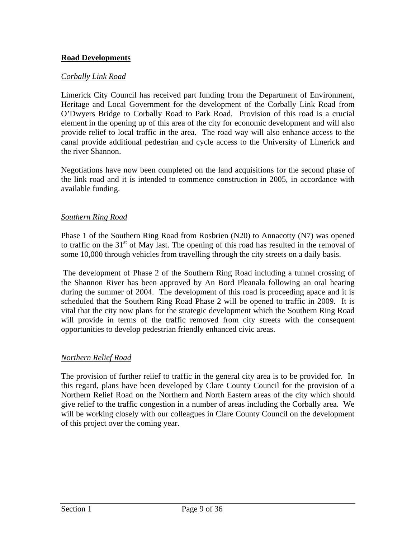## **Road Developments**

#### *Corbally Link Road*

Limerick City Council has received part funding from the Department of Environment, Heritage and Local Government for the development of the Corbally Link Road from O'Dwyers Bridge to Corbally Road to Park Road. Provision of this road is a crucial element in the opening up of this area of the city for economic development and will also provide relief to local traffic in the area. The road way will also enhance access to the canal provide additional pedestrian and cycle access to the University of Limerick and the river Shannon.

Negotiations have now been completed on the land acquisitions for the second phase of the link road and it is intended to commence construction in 2005, in accordance with available funding.

#### *Southern Ring Road*

Phase 1 of the Southern Ring Road from Rosbrien (N20) to Annacotty (N7) was opened to traffic on the  $31<sup>st</sup>$  of May last. The opening of this road has resulted in the removal of some 10,000 through vehicles from travelling through the city streets on a daily basis.

The development of Phase 2 of the Southern Ring Road including a tunnel crossing of the Shannon River has been approved by An Bord Pleanala following an oral hearing during the summer of 2004. The development of this road is proceeding apace and it is scheduled that the Southern Ring Road Phase 2 will be opened to traffic in 2009. It is vital that the city now plans for the strategic development which the Southern Ring Road will provide in terms of the traffic removed from city streets with the consequent opportunities to develop pedestrian friendly enhanced civic areas.

#### *Northern Relief Road*

The provision of further relief to traffic in the general city area is to be provided for. In this regard, plans have been developed by Clare County Council for the provision of a Northern Relief Road on the Northern and North Eastern areas of the city which should give relief to the traffic congestion in a number of areas including the Corbally area. We will be working closely with our colleagues in Clare County Council on the development of this project over the coming year.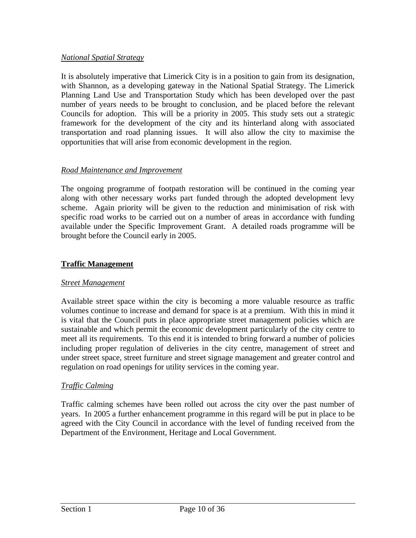### *National Spatial Strategy*

It is absolutely imperative that Limerick City is in a position to gain from its designation, with Shannon, as a developing gateway in the National Spatial Strategy. The Limerick Planning Land Use and Transportation Study which has been developed over the past number of years needs to be brought to conclusion, and be placed before the relevant Councils for adoption. This will be a priority in 2005. This study sets out a strategic framework for the development of the city and its hinterland along with associated transportation and road planning issues. It will also allow the city to maximise the opportunities that will arise from economic development in the region.

### *Road Maintenance and Improvement*

The ongoing programme of footpath restoration will be continued in the coming year along with other necessary works part funded through the adopted development levy scheme. Again priority will be given to the reduction and minimisation of risk with specific road works to be carried out on a number of areas in accordance with funding available under the Specific Improvement Grant. A detailed roads programme will be brought before the Council early in 2005.

#### **Traffic Management**

#### *Street Management*

Available street space within the city is becoming a more valuable resource as traffic volumes continue to increase and demand for space is at a premium. With this in mind it is vital that the Council puts in place appropriate street management policies which are sustainable and which permit the economic development particularly of the city centre to meet all its requirements. To this end it is intended to bring forward a number of policies including proper regulation of deliveries in the city centre, management of street and under street space, street furniture and street signage management and greater control and regulation on road openings for utility services in the coming year.

#### *Traffic Calming*

Traffic calming schemes have been rolled out across the city over the past number of years. In 2005 a further enhancement programme in this regard will be put in place to be agreed with the City Council in accordance with the level of funding received from the Department of the Environment, Heritage and Local Government.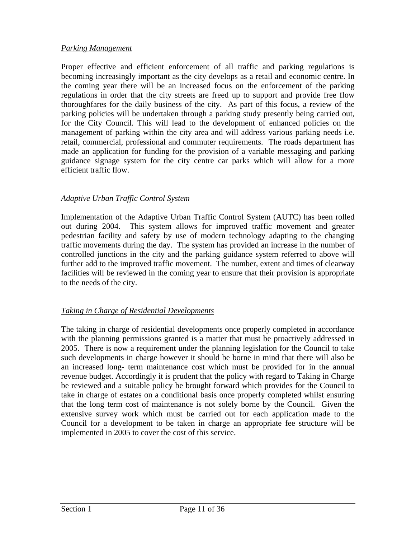## *Parking Management*

Proper effective and efficient enforcement of all traffic and parking regulations is becoming increasingly important as the city develops as a retail and economic centre. In the coming year there will be an increased focus on the enforcement of the parking regulations in order that the city streets are freed up to support and provide free flow thoroughfares for the daily business of the city. As part of this focus, a review of the parking policies will be undertaken through a parking study presently being carried out, for the City Council. This will lead to the development of enhanced policies on the management of parking within the city area and will address various parking needs i.e. retail, commercial, professional and commuter requirements. The roads department has made an application for funding for the provision of a variable messaging and parking guidance signage system for the city centre car parks which will allow for a more efficient traffic flow.

## *Adaptive Urban Traffic Control System*

Implementation of the Adaptive Urban Traffic Control System (AUTC) has been rolled out during 2004. This system allows for improved traffic movement and greater pedestrian facility and safety by use of modern technology adapting to the changing traffic movements during the day. The system has provided an increase in the number of controlled junctions in the city and the parking guidance system referred to above will further add to the improved traffic movement. The number, extent and times of clearway facilities will be reviewed in the coming year to ensure that their provision is appropriate to the needs of the city.

### *Taking in Charge of Residential Developments*

The taking in charge of residential developments once properly completed in accordance with the planning permissions granted is a matter that must be proactively addressed in 2005. There is now a requirement under the planning legislation for the Council to take such developments in charge however it should be borne in mind that there will also be an increased long- term maintenance cost which must be provided for in the annual revenue budget. Accordingly it is prudent that the policy with regard to Taking in Charge be reviewed and a suitable policy be brought forward which provides for the Council to take in charge of estates on a conditional basis once properly completed whilst ensuring that the long term cost of maintenance is not solely borne by the Council. Given the extensive survey work which must be carried out for each application made to the Council for a development to be taken in charge an appropriate fee structure will be implemented in 2005 to cover the cost of this service.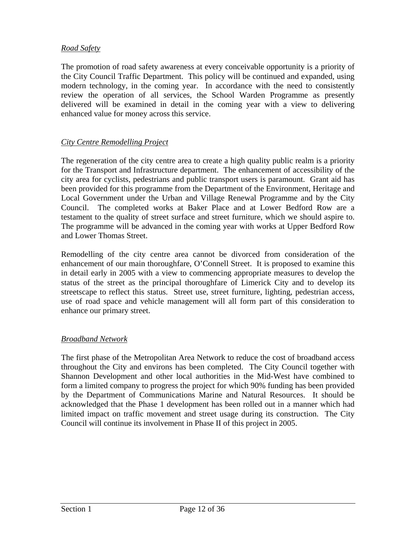## *Road Safety*

The promotion of road safety awareness at every conceivable opportunity is a priority of the City Council Traffic Department. This policy will be continued and expanded, using modern technology, in the coming year. In accordance with the need to consistently review the operation of all services, the School Warden Programme as presently delivered will be examined in detail in the coming year with a view to delivering enhanced value for money across this service.

## *City Centre Remodelling Project*

The regeneration of the city centre area to create a high quality public realm is a priority for the Transport and Infrastructure department. The enhancement of accessibility of the city area for cyclists, pedestrians and public transport users is paramount. Grant aid has been provided for this programme from the Department of the Environment, Heritage and Local Government under the Urban and Village Renewal Programme and by the City Council. The completed works at Baker Place and at Lower Bedford Row are a testament to the quality of street surface and street furniture, which we should aspire to. The programme will be advanced in the coming year with works at Upper Bedford Row and Lower Thomas Street.

Remodelling of the city centre area cannot be divorced from consideration of the enhancement of our main thoroughfare, O'Connell Street. It is proposed to examine this in detail early in 2005 with a view to commencing appropriate measures to develop the status of the street as the principal thoroughfare of Limerick City and to develop its streetscape to reflect this status. Street use, street furniture, lighting, pedestrian access, use of road space and vehicle management will all form part of this consideration to enhance our primary street.

### *Broadband Network*

The first phase of the Metropolitan Area Network to reduce the cost of broadband access throughout the City and environs has been completed. The City Council together with Shannon Development and other local authorities in the Mid-West have combined to form a limited company to progress the project for which 90% funding has been provided by the Department of Communications Marine and Natural Resources. It should be acknowledged that the Phase 1 development has been rolled out in a manner which had limited impact on traffic movement and street usage during its construction. The City Council will continue its involvement in Phase II of this project in 2005.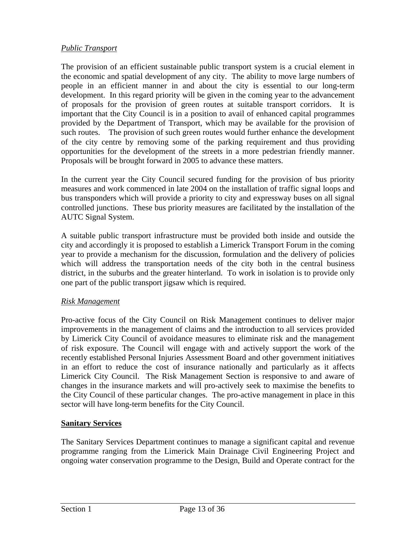## *Public Transport*

The provision of an efficient sustainable public transport system is a crucial element in the economic and spatial development of any city. The ability to move large numbers of people in an efficient manner in and about the city is essential to our long-term development. In this regard priority will be given in the coming year to the advancement of proposals for the provision of green routes at suitable transport corridors. It is important that the City Council is in a position to avail of enhanced capital programmes provided by the Department of Transport, which may be available for the provision of such routes. The provision of such green routes would further enhance the development of the city centre by removing some of the parking requirement and thus providing opportunities for the development of the streets in a more pedestrian friendly manner. Proposals will be brought forward in 2005 to advance these matters.

In the current year the City Council secured funding for the provision of bus priority measures and work commenced in late 2004 on the installation of traffic signal loops and bus transponders which will provide a priority to city and expressway buses on all signal controlled junctions. These bus priority measures are facilitated by the installation of the AUTC Signal System.

A suitable public transport infrastructure must be provided both inside and outside the city and accordingly it is proposed to establish a Limerick Transport Forum in the coming year to provide a mechanism for the discussion, formulation and the delivery of policies which will address the transportation needs of the city both in the central business district, in the suburbs and the greater hinterland. To work in isolation is to provide only one part of the public transport jigsaw which is required.

### *Risk Management*

Pro-active focus of the City Council on Risk Management continues to deliver major improvements in the management of claims and the introduction to all services provided by Limerick City Council of avoidance measures to eliminate risk and the management of risk exposure. The Council will engage with and actively support the work of the recently established Personal Injuries Assessment Board and other government initiatives in an effort to reduce the cost of insurance nationally and particularly as it affects Limerick City Council. The Risk Management Section is responsive to and aware of changes in the insurance markets and will pro-actively seek to maximise the benefits to the City Council of these particular changes. The pro-active management in place in this sector will have long-term benefits for the City Council.

# **Sanitary Services**

The Sanitary Services Department continues to manage a significant capital and revenue programme ranging from the Limerick Main Drainage Civil Engineering Project and ongoing water conservation programme to the Design, Build and Operate contract for the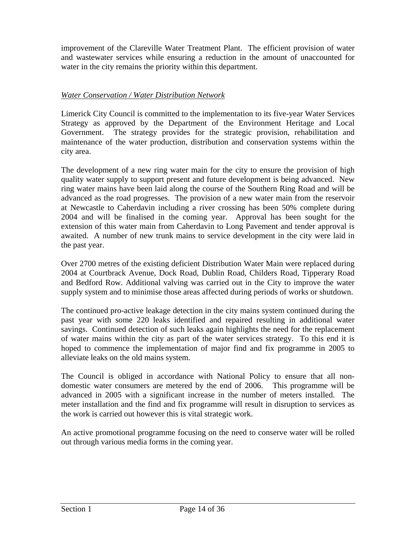improvement of the Clareville Water Treatment Plant. The efficient provision of water and wastewater services while ensuring a reduction in the amount of unaccounted for water in the city remains the priority within this department.

## *Water Conservation / Water Distribution Network*

Limerick City Council is committed to the implementation to its five-year Water Services Strategy as approved by the Department of the Environment Heritage and Local Government. The strategy provides for the strategic provision, rehabilitation and maintenance of the water production, distribution and conservation systems within the city area.

The development of a new ring water main for the city to ensure the provision of high quality water supply to support present and future development is being advanced. New ring water mains have been laid along the course of the Southern Ring Road and will be advanced as the road progresses. The provision of a new water main from the reservoir at Newcastle to Caherdavin including a river crossing has been 50% complete during 2004 and will be finalised in the coming year. Approval has been sought for the extension of this water main from Caherdavin to Long Pavement and tender approval is awaited. A number of new trunk mains to service development in the city were laid in the past year.

Over 2700 metres of the existing deficient Distribution Water Main were replaced during 2004 at Courtbrack Avenue, Dock Road, Dublin Road, Childers Road, Tipperary Road and Bedford Row. Additional valving was carried out in the City to improve the water supply system and to minimise those areas affected during periods of works or shutdown.

The continued pro-active leakage detection in the city mains system continued during the past year with some 220 leaks identified and repaired resulting in additional water savings. Continued detection of such leaks again highlights the need for the replacement of water mains within the city as part of the water services strategy. To this end it is hoped to commence the implementation of major find and fix programme in 2005 to alleviate leaks on the old mains system.

The Council is obliged in accordance with National Policy to ensure that all nondomestic water consumers are metered by the end of 2006. This programme will be advanced in 2005 with a significant increase in the number of meters installed. The meter installation and the find and fix programme will result in disruption to services as the work is carried out however this is vital strategic work.

An active promotional programme focusing on the need to conserve water will be rolled out through various media forms in the coming year.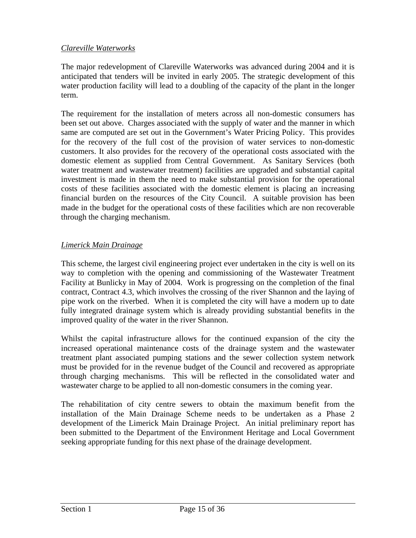## *Clareville Waterworks*

The major redevelopment of Clareville Waterworks was advanced during 2004 and it is anticipated that tenders will be invited in early 2005. The strategic development of this water production facility will lead to a doubling of the capacity of the plant in the longer term.

The requirement for the installation of meters across all non-domestic consumers has been set out above. Charges associated with the supply of water and the manner in which same are computed are set out in the Government's Water Pricing Policy. This provides for the recovery of the full cost of the provision of water services to non-domestic customers. It also provides for the recovery of the operational costs associated with the domestic element as supplied from Central Government. As Sanitary Services (both water treatment and wastewater treatment) facilities are upgraded and substantial capital investment is made in them the need to make substantial provision for the operational costs of these facilities associated with the domestic element is placing an increasing financial burden on the resources of the City Council. A suitable provision has been made in the budget for the operational costs of these facilities which are non recoverable through the charging mechanism.

## *Limerick Main Drainage*

This scheme, the largest civil engineering project ever undertaken in the city is well on its way to completion with the opening and commissioning of the Wastewater Treatment Facility at Bunlicky in May of 2004. Work is progressing on the completion of the final contract, Contract 4.3, which involves the crossing of the river Shannon and the laying of pipe work on the riverbed. When it is completed the city will have a modern up to date fully integrated drainage system which is already providing substantial benefits in the improved quality of the water in the river Shannon.

Whilst the capital infrastructure allows for the continued expansion of the city the increased operational maintenance costs of the drainage system and the wastewater treatment plant associated pumping stations and the sewer collection system network must be provided for in the revenue budget of the Council and recovered as appropriate through charging mechanisms. This will be reflected in the consolidated water and wastewater charge to be applied to all non-domestic consumers in the coming year.

The rehabilitation of city centre sewers to obtain the maximum benefit from the installation of the Main Drainage Scheme needs to be undertaken as a Phase 2 development of the Limerick Main Drainage Project. An initial preliminary report has been submitted to the Department of the Environment Heritage and Local Government seeking appropriate funding for this next phase of the drainage development.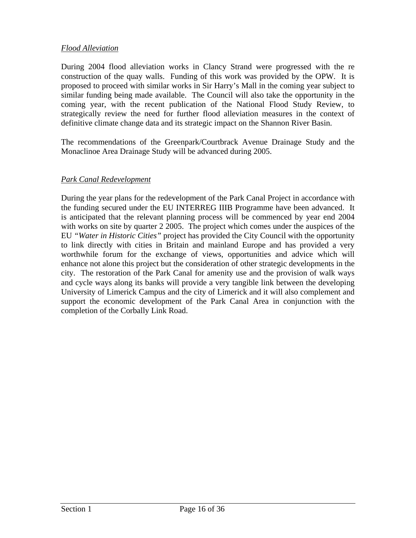### *Flood Alleviation*

During 2004 flood alleviation works in Clancy Strand were progressed with the re construction of the quay walls. Funding of this work was provided by the OPW. It is proposed to proceed with similar works in Sir Harry's Mall in the coming year subject to similar funding being made available. The Council will also take the opportunity in the coming year, with the recent publication of the National Flood Study Review, to strategically review the need for further flood alleviation measures in the context of definitive climate change data and its strategic impact on the Shannon River Basin.

The recommendations of the Greenpark/Courtbrack Avenue Drainage Study and the Monaclinoe Area Drainage Study will be advanced during 2005.

## *Park Canal Redevelopment*

During the year plans for the redevelopment of the Park Canal Project in accordance with the funding secured under the EU INTERREG IIIB Programme have been advanced. It is anticipated that the relevant planning process will be commenced by year end 2004 with works on site by quarter 2 2005. The project which comes under the auspices of the EU *"Water in Historic Cities"* project has provided the City Council with the opportunity to link directly with cities in Britain and mainland Europe and has provided a very worthwhile forum for the exchange of views, opportunities and advice which will enhance not alone this project but the consideration of other strategic developments in the city. The restoration of the Park Canal for amenity use and the provision of walk ways and cycle ways along its banks will provide a very tangible link between the developing University of Limerick Campus and the city of Limerick and it will also complement and support the economic development of the Park Canal Area in conjunction with the completion of the Corbally Link Road.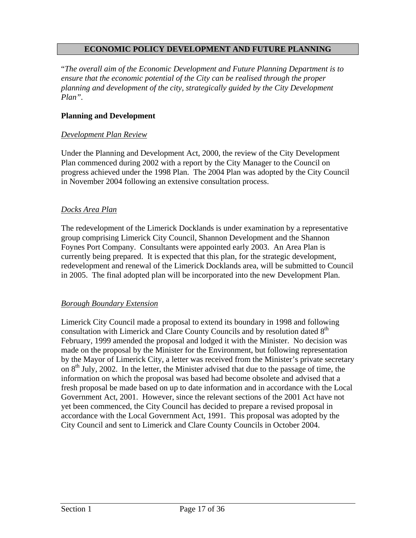### **ECONOMIC POLICY DEVELOPMENT AND FUTURE PLANNING**

"*The overall aim of the Economic Development and Future Planning Department is to ensure that the economic potential of the City can be realised through the proper planning and development of the city, strategically guided by the City Development Plan".* 

#### **Planning and Development**

#### *Development Plan Review*

Under the Planning and Development Act, 2000, the review of the City Development Plan commenced during 2002 with a report by the City Manager to the Council on progress achieved under the 1998 Plan. The 2004 Plan was adopted by the City Council in November 2004 following an extensive consultation process.

#### *Docks Area Plan*

The redevelopment of the Limerick Docklands is under examination by a representative group comprising Limerick City Council, Shannon Development and the Shannon Foynes Port Company. Consultants were appointed early 2003. An Area Plan is currently being prepared. It is expected that this plan, for the strategic development, redevelopment and renewal of the Limerick Docklands area, will be submitted to Council in 2005. The final adopted plan will be incorporated into the new Development Plan.

#### *Borough Boundary Extension*

Limerick City Council made a proposal to extend its boundary in 1998 and following consultation with Limerick and Clare County Councils and by resolution dated  $8<sup>th</sup>$ February, 1999 amended the proposal and lodged it with the Minister. No decision was made on the proposal by the Minister for the Environment, but following representation by the Mayor of Limerick City, a letter was received from the Minister's private secretary on  $8<sup>th</sup>$  July, 2002. In the letter, the Minister advised that due to the passage of time, the information on which the proposal was based had become obsolete and advised that a fresh proposal be made based on up to date information and in accordance with the Local Government Act, 2001. However, since the relevant sections of the 2001 Act have not yet been commenced, the City Council has decided to prepare a revised proposal in accordance with the Local Government Act, 1991. This proposal was adopted by the City Council and sent to Limerick and Clare County Councils in October 2004.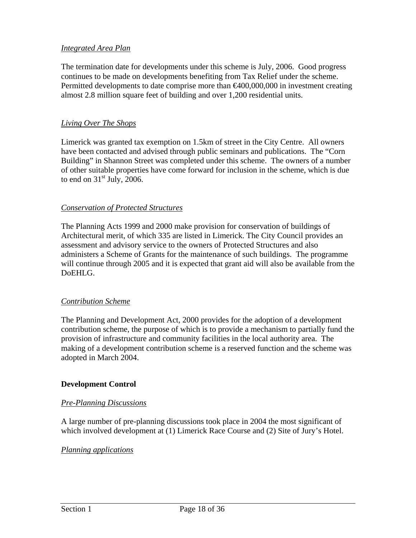### *Integrated Area Plan*

The termination date for developments under this scheme is July, 2006. Good progress continues to be made on developments benefiting from Tax Relief under the scheme. Permitted developments to date comprise more than  $\epsilon 400,000,000$  in investment creating almost 2.8 million square feet of building and over 1,200 residential units.

#### *Living Over The Shops*

Limerick was granted tax exemption on 1.5km of street in the City Centre. All owners have been contacted and advised through public seminars and publications. The "Corn Building" in Shannon Street was completed under this scheme. The owners of a number of other suitable properties have come forward for inclusion in the scheme, which is due to end on  $31<sup>st</sup>$  July, 2006.

#### *Conservation of Protected Structures*

The Planning Acts 1999 and 2000 make provision for conservation of buildings of Architectural merit, of which 335 are listed in Limerick. The City Council provides an assessment and advisory service to the owners of Protected Structures and also administers a Scheme of Grants for the maintenance of such buildings. The programme will continue through 2005 and it is expected that grant aid will also be available from the DoEHLG.

### *Contribution Scheme*

The Planning and Development Act, 2000 provides for the adoption of a development contribution scheme, the purpose of which is to provide a mechanism to partially fund the provision of infrastructure and community facilities in the local authority area. The making of a development contribution scheme is a reserved function and the scheme was adopted in March 2004.

#### **Development Control**

#### *Pre-Planning Discussions*

A large number of pre-planning discussions took place in 2004 the most significant of which involved development at (1) Limerick Race Course and (2) Site of Jury's Hotel.

#### *Planning applications*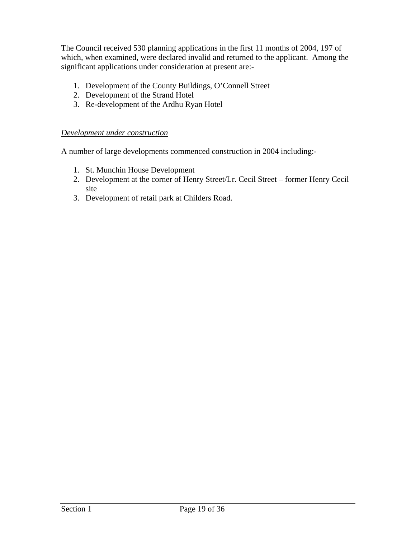The Council received 530 planning applications in the first 11 months of 2004, 197 of which, when examined, were declared invalid and returned to the applicant. Among the significant applications under consideration at present are:-

- 1. Development of the County Buildings, O'Connell Street
- 2. Development of the Strand Hotel
- 3. Re-development of the Ardhu Ryan Hotel

## *Development under construction*

A number of large developments commenced construction in 2004 including:-

- 1. St. Munchin House Development
- 2. Development at the corner of Henry Street/Lr. Cecil Street former Henry Cecil site
- 3. Development of retail park at Childers Road.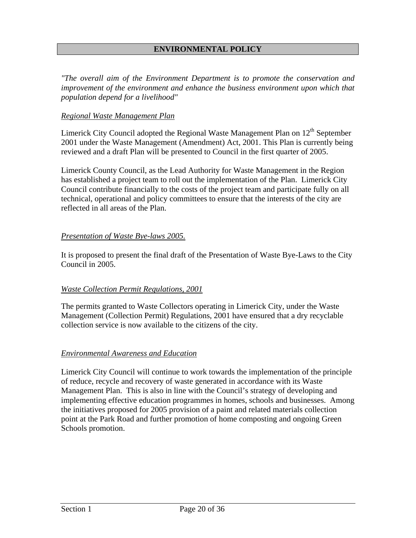## **ENVIRONMENTAL POLICY**

*"The overall aim of the Environment Department is to promote the conservation and improvement of the environment and enhance the business environment upon which that population depend for a livelihood"* 

#### *Regional Waste Management Plan*

Limerick City Council adopted the Regional Waste Management Plan on  $12<sup>th</sup>$  September 2001 under the Waste Management (Amendment) Act, 2001. This Plan is currently being reviewed and a draft Plan will be presented to Council in the first quarter of 2005.

Limerick County Council, as the Lead Authority for Waste Management in the Region has established a project team to roll out the implementation of the Plan. Limerick City Council contribute financially to the costs of the project team and participate fully on all technical, operational and policy committees to ensure that the interests of the city are reflected in all areas of the Plan.

### *Presentation of Waste Bye-laws 2005.*

It is proposed to present the final draft of the Presentation of Waste Bye-Laws to the City Council in 2005.

### *Waste Collection Permit Regulations, 2001*

The permits granted to Waste Collectors operating in Limerick City, under the Waste Management (Collection Permit) Regulations, 2001 have ensured that a dry recyclable collection service is now available to the citizens of the city.

#### *Environmental Awareness and Education*

Limerick City Council will continue to work towards the implementation of the principle of reduce, recycle and recovery of waste generated in accordance with its Waste Management Plan. This is also in line with the Council's strategy of developing and implementing effective education programmes in homes, schools and businesses. Among the initiatives proposed for 2005 provision of a paint and related materials collection point at the Park Road and further promotion of home composting and ongoing Green Schools promotion.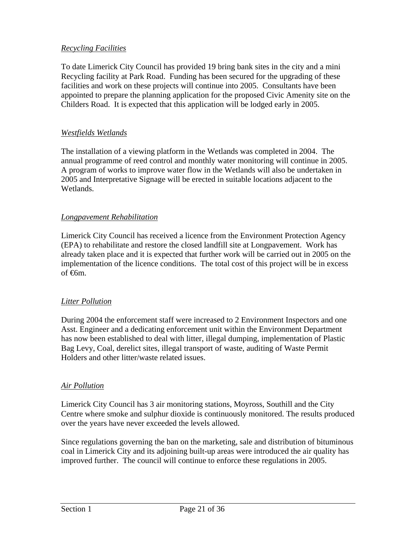## *Recycling Facilities*

To date Limerick City Council has provided 19 bring bank sites in the city and a mini Recycling facility at Park Road. Funding has been secured for the upgrading of these facilities and work on these projects will continue into 2005. Consultants have been appointed to prepare the planning application for the proposed Civic Amenity site on the Childers Road. It is expected that this application will be lodged early in 2005.

#### *Westfields Wetlands*

The installation of a viewing platform in the Wetlands was completed in 2004. The annual programme of reed control and monthly water monitoring will continue in 2005. A program of works to improve water flow in the Wetlands will also be undertaken in 2005 and Interpretative Signage will be erected in suitable locations adjacent to the Wetlands.

#### *Longpavement Rehabilitation*

Limerick City Council has received a licence from the Environment Protection Agency (EPA) to rehabilitate and restore the closed landfill site at Longpavement. Work has already taken place and it is expected that further work will be carried out in 2005 on the implementation of the licence conditions. The total cost of this project will be in excess of <del>€6</del>m.

### *Litter Pollution*

During 2004 the enforcement staff were increased to 2 Environment Inspectors and one Asst. Engineer and a dedicating enforcement unit within the Environment Department has now been established to deal with litter, illegal dumping, implementation of Plastic Bag Levy, Coal, derelict sites, illegal transport of waste, auditing of Waste Permit Holders and other litter/waste related issues.

#### *Air Pollution*

Limerick City Council has 3 air monitoring stations, Moyross, Southill and the City Centre where smoke and sulphur dioxide is continuously monitored. The results produced over the years have never exceeded the levels allowed.

Since regulations governing the ban on the marketing, sale and distribution of bituminous coal in Limerick City and its adjoining built-up areas were introduced the air quality has improved further. The council will continue to enforce these regulations in 2005.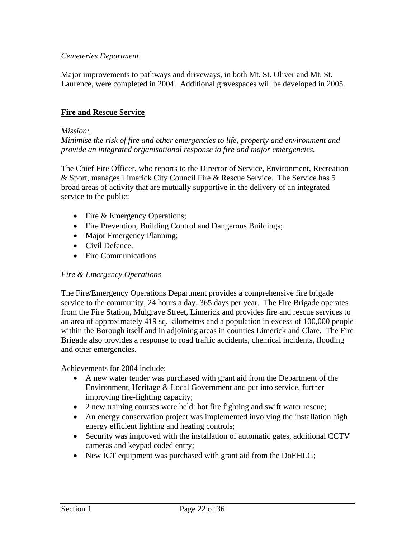## *Cemeteries Department*

Major improvements to pathways and driveways, in both Mt. St. Oliver and Mt. St. Laurence, were completed in 2004. Additional gravespaces will be developed in 2005.

### **Fire and Rescue Service**

#### *Mission:*

*Minimise the risk of fire and other emergencies to life, property and environment and provide an integrated organisational response to fire and major emergencies.* 

The Chief Fire Officer, who reports to the Director of Service, Environment, Recreation & Sport, manages Limerick City Council Fire & Rescue Service. The Service has 5 broad areas of activity that are mutually supportive in the delivery of an integrated service to the public:

- Fire & Emergency Operations;
- Fire Prevention, Building Control and Dangerous Buildings;
- Major Emergency Planning;
- Civil Defence.
- Fire Communications

### *Fire & Emergency Operations*

The Fire/Emergency Operations Department provides a comprehensive fire brigade service to the community, 24 hours a day, 365 days per year. The Fire Brigade operates from the Fire Station, Mulgrave Street, Limerick and provides fire and rescue services to an area of approximately 419 sq. kilometres and a population in excess of 100,000 people within the Borough itself and in adjoining areas in counties Limerick and Clare. The Fire Brigade also provides a response to road traffic accidents, chemical incidents, flooding and other emergencies.

Achievements for 2004 include:

- A new water tender was purchased with grant aid from the Department of the Environment, Heritage & Local Government and put into service, further improving fire-fighting capacity;
- 2 new training courses were held: hot fire fighting and swift water rescue;
- An energy conservation project was implemented involving the installation high energy efficient lighting and heating controls;
- Security was improved with the installation of automatic gates, additional CCTV cameras and keypad coded entry;
- New ICT equipment was purchased with grant aid from the DoEHLG;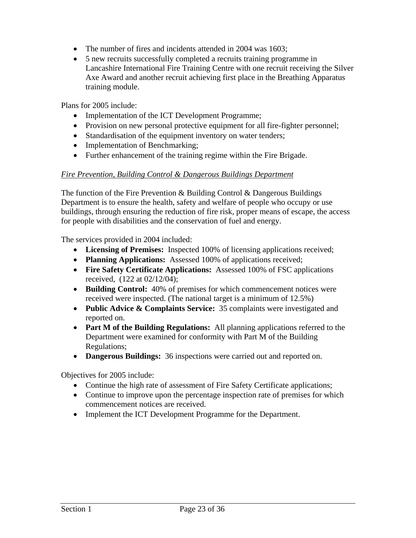- The number of fires and incidents attended in 2004 was 1603:
- 5 new recruits successfully completed a recruits training programme in Lancashire International Fire Training Centre with one recruit receiving the Silver Axe Award and another recruit achieving first place in the Breathing Apparatus training module.

Plans for 2005 include:

- Implementation of the ICT Development Programme;
- Provision on new personal protective equipment for all fire-fighter personnel;
- Standardisation of the equipment inventory on water tenders;
- Implementation of Benchmarking;
- Further enhancement of the training regime within the Fire Brigade.

#### *Fire Prevention, Building Control & Dangerous Buildings Department*

The function of the Fire Prevention  $\&$  Building Control  $\&$  Dangerous Buildings Department is to ensure the health, safety and welfare of people who occupy or use buildings, through ensuring the reduction of fire risk, proper means of escape, the access for people with disabilities and the conservation of fuel and energy.

The services provided in 2004 included:

- **Licensing of Premises:** Inspected 100% of licensing applications received;
- **Planning Applications:** Assessed 100% of applications received;
- **Fire Safety Certificate Applications:** Assessed 100% of FSC applications received, (122 at 02/12/04);
- **Building Control:** 40% of premises for which commencement notices were received were inspected. (The national target is a minimum of 12.5%)
- **Public Advice & Complaints Service:** 35 complaints were investigated and reported on.
- **Part M of the Building Regulations:** All planning applications referred to the Department were examined for conformity with Part M of the Building Regulations;
- **Dangerous Buildings:** 36 inspections were carried out and reported on.

Objectives for 2005 include:

- Continue the high rate of assessment of Fire Safety Certificate applications;
- Continue to improve upon the percentage inspection rate of premises for which commencement notices are received.
- Implement the ICT Development Programme for the Department.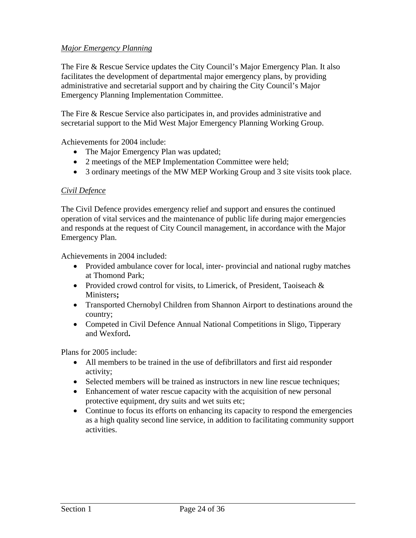## *Major Emergency Planning*

The Fire & Rescue Service updates the City Council's Major Emergency Plan. It also facilitates the development of departmental major emergency plans, by providing administrative and secretarial support and by chairing the City Council's Major Emergency Planning Implementation Committee.

The Fire & Rescue Service also participates in, and provides administrative and secretarial support to the Mid West Major Emergency Planning Working Group.

Achievements for 2004 include:

- The Major Emergency Plan was updated;
- 2 meetings of the MEP Implementation Committee were held;
- 3 ordinary meetings of the MW MEP Working Group and 3 site visits took place.

#### *Civil Defence*

The Civil Defence provides emergency relief and support and ensures the continued operation of vital services and the maintenance of public life during major emergencies and responds at the request of City Council management, in accordance with the Major Emergency Plan.

Achievements in 2004 included:

- Provided ambulance cover for local, inter-provincial and national rugby matches at Thomond Park;
- Provided crowd control for visits, to Limerick, of President, Taoiseach & Ministers**;**
- Transported Chernobyl Children from Shannon Airport to destinations around the country;
- Competed in Civil Defence Annual National Competitions in Sligo, Tipperary and Wexford**.**

Plans for 2005 include:

- All members to be trained in the use of defibrillators and first aid responder activity;
- Selected members will be trained as instructors in new line rescue techniques;
- Enhancement of water rescue capacity with the acquisition of new personal protective equipment, dry suits and wet suits etc;
- Continue to focus its efforts on enhancing its capacity to respond the emergencies as a high quality second line service, in addition to facilitating community support activities.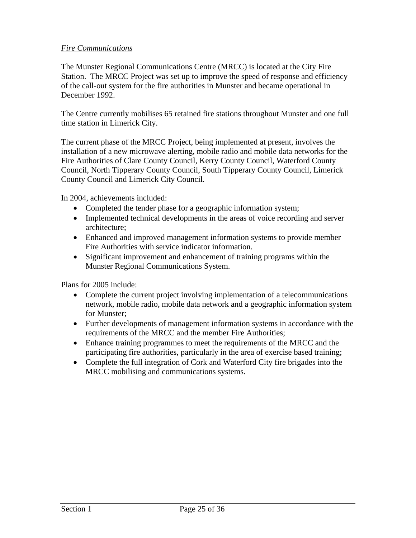### *Fire Communications*

The Munster Regional Communications Centre (MRCC) is located at the City Fire Station. The MRCC Project was set up to improve the speed of response and efficiency of the call-out system for the fire authorities in Munster and became operational in December 1992.

The Centre currently mobilises 65 retained fire stations throughout Munster and one full time station in Limerick City.

The current phase of the MRCC Project, being implemented at present, involves the installation of a new microwave alerting, mobile radio and mobile data networks for the Fire Authorities of Clare County Council, Kerry County Council, Waterford County Council, North Tipperary County Council, South Tipperary County Council, Limerick County Council and Limerick City Council.

In 2004, achievements included:

- Completed the tender phase for a geographic information system;
- Implemented technical developments in the areas of voice recording and server architecture;
- Enhanced and improved management information systems to provide member Fire Authorities with service indicator information.
- Significant improvement and enhancement of training programs within the Munster Regional Communications System.

Plans for 2005 include:

- Complete the current project involving implementation of a telecommunications network, mobile radio, mobile data network and a geographic information system for Munster;
- Further developments of management information systems in accordance with the requirements of the MRCC and the member Fire Authorities;
- Enhance training programmes to meet the requirements of the MRCC and the participating fire authorities, particularly in the area of exercise based training;
- Complete the full integration of Cork and Waterford City fire brigades into the MRCC mobilising and communications systems.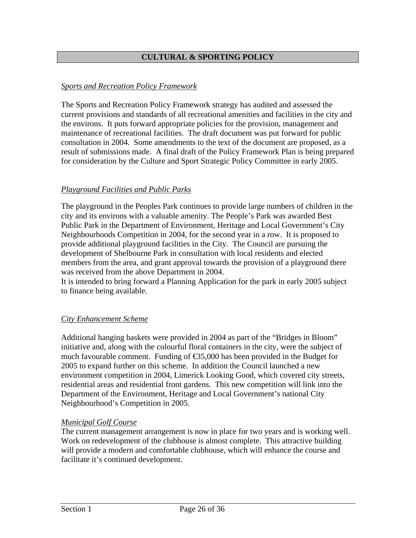## **CULTURAL & SPORTING POLICY**

### *Sports and Recreation Policy Framework*

The Sports and Recreation Policy Framework strategy has audited and assessed the current provisions and standards of all recreational amenities and facilities in the city and the environs. It puts forward appropriate policies for the provision, management and maintenance of recreational facilities. The draft document was put forward for public consultation in 2004. Some amendments to the text of the document are proposed, as a result of submissions made. A final draft of the Policy Framework Plan is being prepared for consideration by the Culture and Sport Strategic Policy Committee in early 2005.

## *Playground Facilities and Public Parks*

The playground in the Peoples Park continues to provide large numbers of children in the city and its environs with a valuable amenity. The People's Park was awarded Best Public Park in the Department of Environment, Heritage and Local Government's City Neighbourhoods Competition in 2004, for the second year in a row. It is proposed to provide additional playground facilities in the City. The Council are pursuing the development of Shelbourne Park in consultation with local residents and elected members from the area, and grant approval towards the provision of a playground there was received from the above Department in 2004.

It is intended to bring forward a Planning Application for the park in early 2005 subject to finance being available.

### *City Enhancement Scheme*

Additional hanging baskets were provided in 2004 as part of the "Bridges in Bloom" initiative and, along with the colourful floral containers in the city, were the subject of much favourable comment. Funding of  $\epsilon$ 35,000 has been provided in the Budget for 2005 to expand further on this scheme. In addition the Council launched a new environment competition in 2004, Limerick Looking Good, which covered city streets, residential areas and residential front gardens. This new competition will link into the Department of the Environment, Heritage and Local Government's national City Neighbourhood's Competition in 2005.

#### *Municipal Golf Course*

The current management arrangement is now in place for two years and is working well. Work on redevelopment of the clubhouse is almost complete. This attractive building will provide a modern and comfortable clubhouse, which will enhance the course and facilitate it's continued development.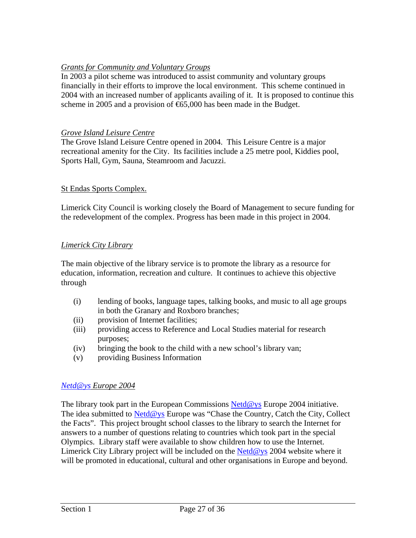# *Grants for Community and Voluntary Groups*

In 2003 a pilot scheme was introduced to assist community and voluntary groups financially in their efforts to improve the local environment. This scheme continued in 2004 with an increased number of applicants availing of it. It is proposed to continue this scheme in 2005 and a provision of €65,000 has been made in the Budget.

## *Grove Island Leisure Centre*

The Grove Island Leisure Centre opened in 2004. This Leisure Centre is a major recreational amenity for the City. Its facilities include a 25 metre pool, Kiddies pool, Sports Hall, Gym, Sauna, Steamroom and Jacuzzi.

## St Endas Sports Complex.

Limerick City Council is working closely the Board of Management to secure funding for the redevelopment of the complex. Progress has been made in this project in 2004.

## *Limerick City Library*

The main objective of the library service is to promote the library as a resource for education, information, recreation and culture. It continues to achieve this objective through

- (i) lending of books, language tapes, talking books, and music to all age groups in both the Granary and Roxboro branches;
- (ii) provision of Internet facilities;
- (iii) providing access to Reference and Local Studies material for research purposes;
- (iv) bringing the book to the child with a new school's library van;
- (v) providing Business Information

### *[Netd@ys](mailto:Netd@ys) Europe 2004*

The library took part in the European Commissions [Netd@ys](mailto:Netd@ys) Europe 2004 initiative. The idea submitted to  $Net d@ys$  Europe was "Chase the Country, Catch the City, Collect the Facts". This project brought school classes to the library to search the Internet for answers to a number of questions relating to countries which took part in the special Olympics. Library staff were available to show children how to use the Internet. Limerick City Library project will be included on the [Netd@ys](mailto:Netd@ys) 2004 website where it will be promoted in educational, cultural and other organisations in Europe and beyond.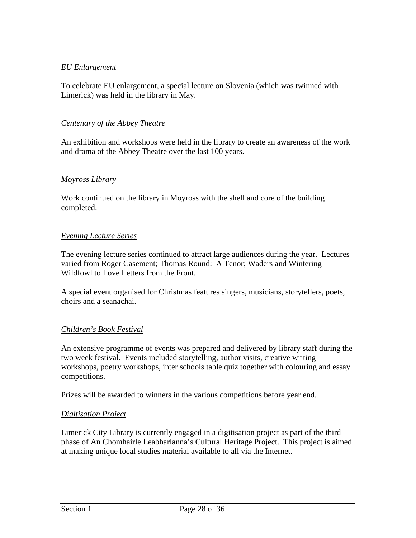### *EU Enlargement*

To celebrate EU enlargement, a special lecture on Slovenia (which was twinned with Limerick) was held in the library in May.

### *Centenary of the Abbey Theatre*

An exhibition and workshops were held in the library to create an awareness of the work and drama of the Abbey Theatre over the last 100 years.

### *Moyross Library*

Work continued on the library in Moyross with the shell and core of the building completed.

### *Evening Lecture Series*

The evening lecture series continued to attract large audiences during the year. Lectures varied from Roger Casement; Thomas Round: A Tenor; Waders and Wintering Wildfowl to Love Letters from the Front.

A special event organised for Christmas features singers, musicians, storytellers, poets, choirs and a seanachai.

### *Children's Book Festival*

An extensive programme of events was prepared and delivered by library staff during the two week festival. Events included storytelling, author visits, creative writing workshops, poetry workshops, inter schools table quiz together with colouring and essay competitions.

Prizes will be awarded to winners in the various competitions before year end.

### *Digitisation Project*

Limerick City Library is currently engaged in a digitisation project as part of the third phase of An Chomhairle Leabharlanna's Cultural Heritage Project. This project is aimed at making unique local studies material available to all via the Internet.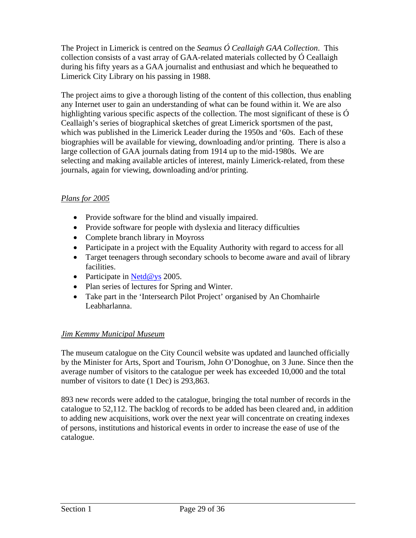The Project in Limerick is centred on the *Seamus Ó Ceallaigh GAA Collection*. This collection consists of a vast array of GAA-related materials collected by Ó Ceallaigh during his fifty years as a GAA journalist and enthusiast and which he bequeathed to Limerick City Library on his passing in 1988.

The project aims to give a thorough listing of the content of this collection, thus enabling any Internet user to gain an understanding of what can be found within it. We are also highlighting various specific aspects of the collection. The most significant of these is  $\acute{o}$ Ceallaigh's series of biographical sketches of great Limerick sportsmen of the past, which was published in the Limerick Leader during the 1950s and '60s. Each of these biographies will be available for viewing, downloading and/or printing. There is also a large collection of GAA journals dating from 1914 up to the mid-1980s. We are selecting and making available articles of interest, mainly Limerick-related, from these journals, again for viewing, downloading and/or printing.

## *Plans for 2005*

- Provide software for the blind and visually impaired.
- Provide software for people with dyslexia and literacy difficulties
- Complete branch library in Moyross
- Participate in a project with the Equality Authority with regard to access for all
- Target teenagers through secondary schools to become aware and avail of library facilities.
- Participate in [Netd@ys](mailto:Netd@ys) 2005.
- Plan series of lectures for Spring and Winter.
- Take part in the 'Intersearch Pilot Project' organised by An Chomhairle Leabharlanna.

### *Jim Kemmy Municipal Museum*

The museum catalogue on the City Council website was updated and launched officially by the Minister for Arts, Sport and Tourism, John O'Donoghue, on 3 June. Since then the average number of visitors to the catalogue per week has exceeded 10,000 and the total number of visitors to date (1 Dec) is 293,863.

893 new records were added to the catalogue, bringing the total number of records in the catalogue to 52,112. The backlog of records to be added has been cleared and, in addition to adding new acquisitions, work over the next year will concentrate on creating indexes of persons, institutions and historical events in order to increase the ease of use of the catalogue.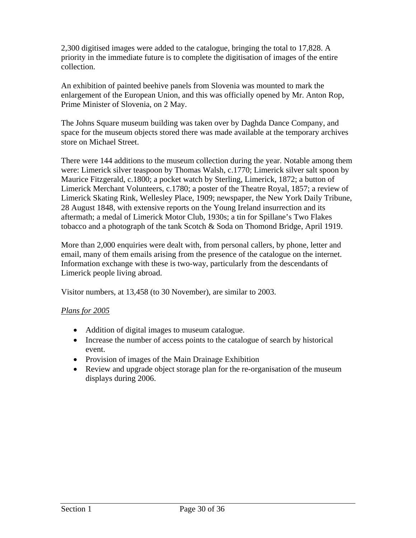2,300 digitised images were added to the catalogue, bringing the total to 17,828. A priority in the immediate future is to complete the digitisation of images of the entire collection.

An exhibition of painted beehive panels from Slovenia was mounted to mark the enlargement of the European Union, and this was officially opened by Mr. Anton Rop, Prime Minister of Slovenia, on 2 May.

The Johns Square museum building was taken over by Daghda Dance Company, and space for the museum objects stored there was made available at the temporary archives store on Michael Street.

There were 144 additions to the museum collection during the year. Notable among them were: Limerick silver teaspoon by Thomas Walsh, c.1770; Limerick silver salt spoon by Maurice Fitzgerald, c.1800; a pocket watch by Sterling, Limerick, 1872; a button of Limerick Merchant Volunteers, c.1780; a poster of the Theatre Royal, 1857; a review of Limerick Skating Rink, Wellesley Place, 1909; newspaper, the New York Daily Tribune, 28 August 1848, with extensive reports on the Young Ireland insurrection and its aftermath; a medal of Limerick Motor Club, 1930s; a tin for Spillane's Two Flakes tobacco and a photograph of the tank Scotch & Soda on Thomond Bridge, April 1919.

More than 2,000 enquiries were dealt with, from personal callers, by phone, letter and email, many of them emails arising from the presence of the catalogue on the internet. Information exchange with these is two-way, particularly from the descendants of Limerick people living abroad.

Visitor numbers, at 13,458 (to 30 November), are similar to 2003.

# *Plans for 2005*

- Addition of digital images to museum catalogue.
- Increase the number of access points to the catalogue of search by historical event.
- Provision of images of the Main Drainage Exhibition
- Review and upgrade object storage plan for the re-organisation of the museum displays during 2006.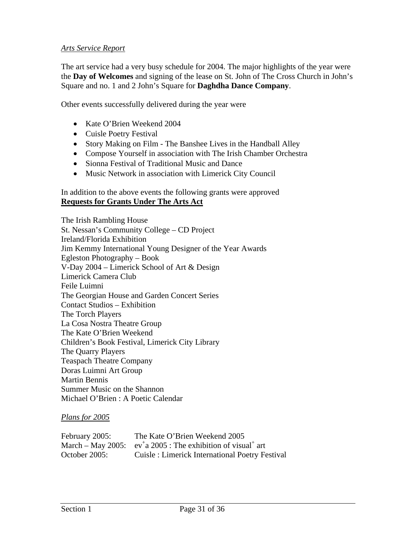#### *Arts Service Report*

The art service had a very busy schedule for 2004. The major highlights of the year were the **Day of Welcomes** and signing of the lease on St. John of The Cross Church in John's Square and no. 1 and 2 John's Square for **Daghdha Dance Company**.

Other events successfully delivered during the year were

- Kate O'Brien Weekend 2004
- Cuisle Poetry Festival
- Story Making on Film The Banshee Lives in the Handball Alley
- Compose Yourself in association with The Irish Chamber Orchestra
- Sionna Festival of Traditional Music and Dance
- Music Network in association with Limerick City Council

In addition to the above events the following grants were approved **Requests for Grants Under The Arts Act**

The Irish Rambling House St. Nessan's Community College – CD Project Ireland/Florida Exhibition Jim Kemmy International Young Designer of the Year Awards Egleston Photography – Book V-Day 2004 – Limerick School of Art & Design Limerick Camera Club Feile Luimni The Georgian House and Garden Concert Series Contact Studios – Exhibition The Torch Players La Cosa Nostra Theatre Group The Kate O'Brien Weekend Children's Book Festival, Limerick City Library The Quarry Players Teaspach Theatre Company Doras Luimni Art Group Martin Bennis Summer Music on the Shannon Michael O'Brien : A Poetic Calendar

#### *Plans for 2005*

| February 2005: | The Kate O'Brien Weekend 2005                                                                         |
|----------------|-------------------------------------------------------------------------------------------------------|
|                | March – May 2005: $ev^{\dagger}$ a 2005: The exhibition of visual <sup><math>\dagger</math></sup> art |
| October 2005:  | Cuisle: Limerick International Poetry Festival                                                        |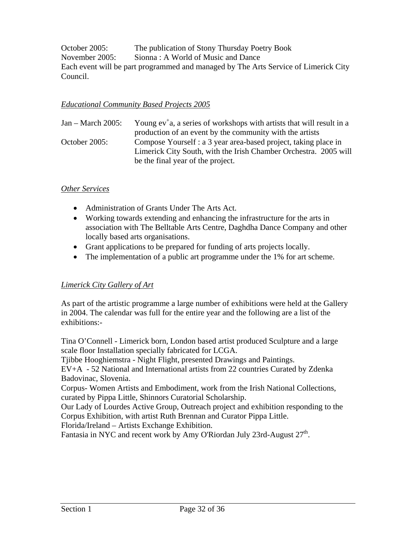October 2005: The publication of Stony Thursday Poetry Book November 2005: Sionna : A World of Music and Dance Each event will be part programmed and managed by The Arts Service of Limerick City Council.

### *Educational Community Based Projects 2005*

| $Jan - March 2005$ : | Young $ev^{\dagger}$ a, a series of workshops with artists that will result in a |
|----------------------|----------------------------------------------------------------------------------|
|                      | production of an event by the community with the artists                         |
| October 2005:        | Compose Yourself : a 3 year area-based project, taking place in                  |
|                      | Limerick City South, with the Irish Chamber Orchestra. 2005 will                 |
|                      | be the final year of the project.                                                |

### *Other Services*

- Administration of Grants Under The Arts Act.
- Working towards extending and enhancing the infrastructure for the arts in association with The Belltable Arts Centre, Daghdha Dance Company and other locally based arts organisations.
- Grant applications to be prepared for funding of arts projects locally.
- The implementation of a public art programme under the 1% for art scheme.

### *Limerick City Gallery of Art*

As part of the artistic programme a large number of exhibitions were held at the Gallery in 2004. The calendar was full for the entire year and the following are a list of the exhibitions:-

Tina O'Connell - Limerick born, London based artist produced Sculpture and a large scale floor Installation specially fabricated for LCGA.

Tjibbe Hooghiemstra - Night Flight, presented Drawings and Paintings.

EV+A - 52 National and International artists from 22 countries Curated by Zdenka Badovinac, Slovenia.

Corpus- Women Artists and Embodiment, work from the Irish National Collections, curated by Pippa Little, Shinnors Curatorial Scholarship.

Our Lady of Lourdes Active Group, Outreach project and exhibition responding to the Corpus Exhibition, with artist Ruth Brennan and Curator Pippa Little.

Florida/Ireland – Artists Exchange Exhibition.

Fantasia in NYC and recent work by Amy O'Riordan July 23rd-August  $27<sup>th</sup>$ .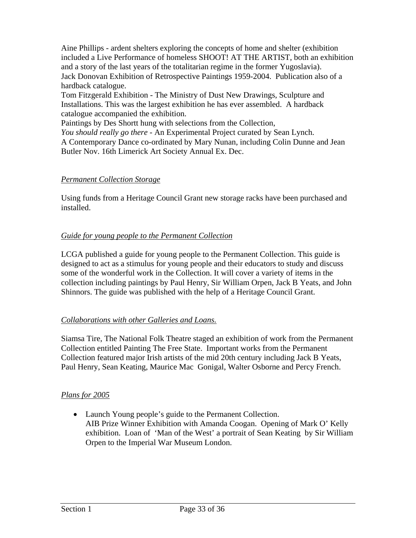Aine Phillips - ardent shelters exploring the concepts of home and shelter (exhibition included a Live Performance of homeless SHOOT! AT THE ARTIST, both an exhibition and a story of the last years of the totalitarian regime in the former Yugoslavia). Jack Donovan Exhibition of Retrospective Paintings 1959-2004. Publication also of a hardback catalogue.

Tom Fitzgerald Exhibition - The Ministry of Dust New Drawings, Sculpture and Installations. This was the largest exhibition he has ever assembled. A hardback catalogue accompanied the exhibition.

Paintings by Des Shortt hung with selections from the Collection,

*You should really go there -* An Experimental Project curated by Sean Lynch. A Contemporary Dance co-ordinated by Mary Nunan, including Colin Dunne and Jean Butler Nov. 16th Limerick Art Society Annual Ex. Dec.

# *Permanent Collection Storage*

Using funds from a Heritage Council Grant new storage racks have been purchased and installed.

# *Guide for young people to the Permanent Collection*

LCGA published a guide for young people to the Permanent Collection. This guide is designed to act as a stimulus for young people and their educators to study and discuss some of the wonderful work in the Collection. It will cover a variety of items in the collection including paintings by Paul Henry, Sir William Orpen, Jack B Yeats, and John Shinnors. The guide was published with the help of a Heritage Council Grant.

# *Collaborations with other Galleries and Loans.*

Siamsa Tire, The National Folk Theatre staged an exhibition of work from the Permanent Collection entitled Painting The Free State. Important works from the Permanent Collection featured major Irish artists of the mid 20th century including Jack B Yeats, Paul Henry, Sean Keating, Maurice Mac Gonigal, Walter Osborne and Percy French.

# *Plans for 2005*

• Launch Young people's guide to the Permanent Collection. AIB Prize Winner Exhibition with Amanda Coogan. Opening of Mark O' Kelly exhibition. Loan of 'Man of the West' a portrait of Sean Keating by Sir William Orpen to the Imperial War Museum London.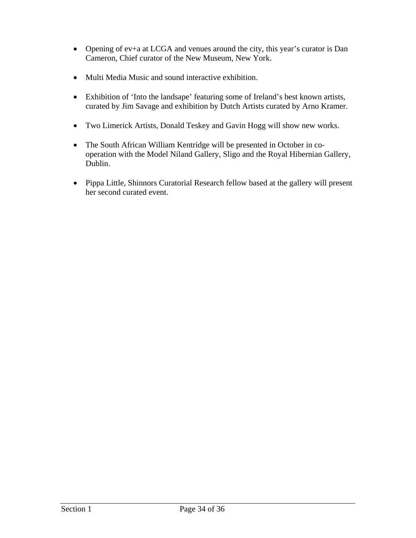- Opening of ev+a at LCGA and venues around the city, this year's curator is Dan Cameron, Chief curator of the New Museum, New York.
- Multi Media Music and sound interactive exhibition.
- Exhibition of 'Into the landsape' featuring some of Ireland's best known artists, curated by Jim Savage and exhibition by Dutch Artists curated by Arno Kramer.
- Two Limerick Artists, Donald Teskey and Gavin Hogg will show new works.
- The South African William Kentridge will be presented in October in cooperation with the Model Niland Gallery, Sligo and the Royal Hibernian Gallery, Dublin.
- Pippa Little, Shinnors Curatorial Research fellow based at the gallery will present her second curated event.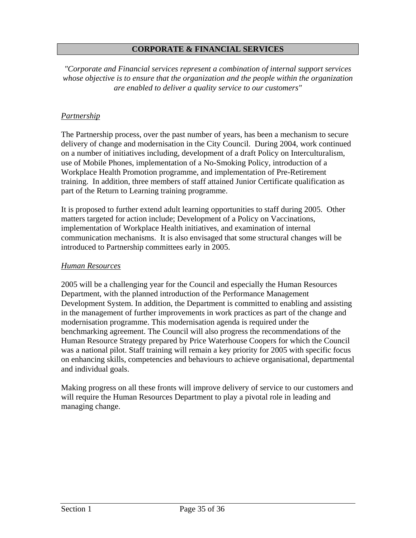### **CORPORATE & FINANCIAL SERVICES**

*"Corporate and Financial services represent a combination of internal support services whose objective is to ensure that the organization and the people within the organization are enabled to deliver a quality service to our customers"* 

#### *Partnership*

The Partnership process, over the past number of years, has been a mechanism to secure delivery of change and modernisation in the City Council. During 2004, work continued on a number of initiatives including, development of a draft Policy on Interculturalism, use of Mobile Phones, implementation of a No-Smoking Policy, introduction of a Workplace Health Promotion programme, and implementation of Pre-Retirement training. In addition, three members of staff attained Junior Certificate qualification as part of the Return to Learning training programme.

It is proposed to further extend adult learning opportunities to staff during 2005. Other matters targeted for action include; Development of a Policy on Vaccinations, implementation of Workplace Health initiatives, and examination of internal communication mechanisms. It is also envisaged that some structural changes will be introduced to Partnership committees early in 2005.

#### *Human Resources*

2005 will be a challenging year for the Council and especially the Human Resources Department, with the planned introduction of the Performance Management Development System. In addition, the Department is committed to enabling and assisting in the management of further improvements in work practices as part of the change and modernisation programme. This modernisation agenda is required under the benchmarking agreement. The Council will also progress the recommendations of the Human Resource Strategy prepared by Price Waterhouse Coopers for which the Council was a national pilot. Staff training will remain a key priority for 2005 with specific focus on enhancing skills, competencies and behaviours to achieve organisational, departmental and individual goals.

Making progress on all these fronts will improve delivery of service to our customers and will require the Human Resources Department to play a pivotal role in leading and managing change.